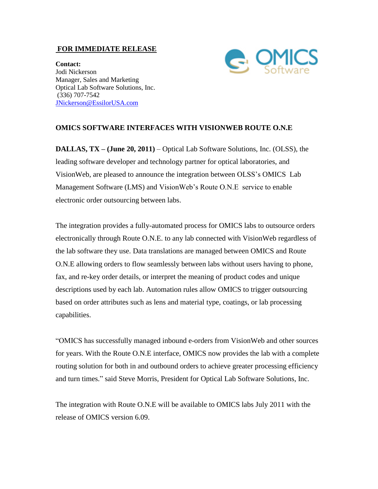## **FOR IMMEDIATE RELEASE**



**Contact:** Jodi Nickerson Manager, Sales and Marketing Optical Lab Software Solutions, Inc. (336) 707-7542 [JNickerson@EssilorUSA.com](mailto:jodi@optifacts.com)

## **OMICS SOFTWARE INTERFACES WITH VISIONWEB ROUTE O.N.E**

**DALLAS, TX – (June 20, 2011)** – Optical Lab Software Solutions, Inc. (OLSS), the leading software developer and technology partner for optical laboratories, and VisionWeb, are pleased to announce the integration between OLSS's OMICS Lab Management Software (LMS) and VisionWeb's Route O.N.E service to enable electronic order outsourcing between labs.

The integration provides a fully-automated process for OMICS labs to outsource orders electronically through Route O.N.E. to any lab connected with VisionWeb regardless of the lab software they use. Data translations are managed between OMICS and Route O.N.E allowing orders to flow seamlessly between labs without users having to phone, fax, and re-key order details, or interpret the meaning of product codes and unique descriptions used by each lab. Automation rules allow OMICS to trigger outsourcing based on order attributes such as lens and material type, coatings, or lab processing capabilities.

"OMICS has successfully managed inbound e-orders from VisionWeb and other sources for years. With the Route O.N.E interface, OMICS now provides the lab with a complete routing solution for both in and outbound orders to achieve greater processing efficiency and turn times." said Steve Morris, President for Optical Lab Software Solutions, Inc.

The integration with Route O.N.E will be available to OMICS labs July 2011 with the release of OMICS version 6.09.